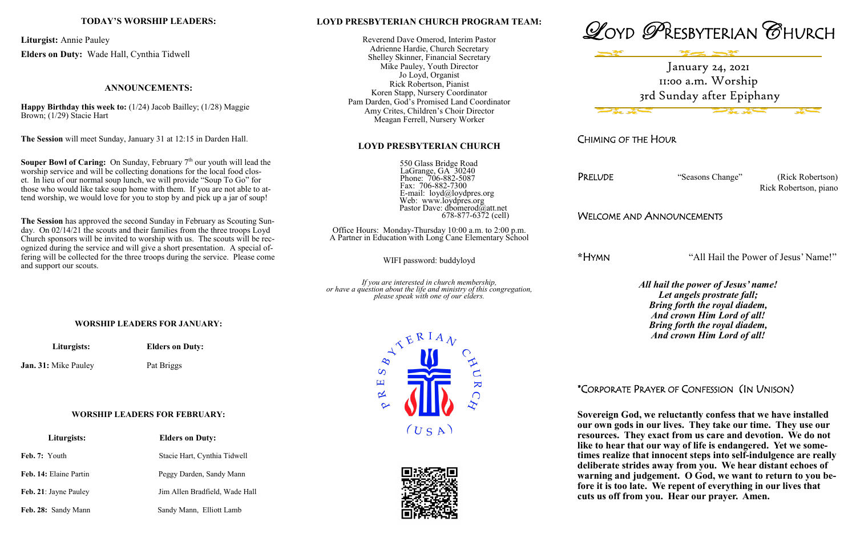# **LOYD PRESBYTERIAN CHURCH PROGRAM TEAM:**

 550 Glass Bridge Road LaGrange, GA 30240 Phone: 706-882-5087 Fax: 706-882-7300 E-mail: loyd@loydpres.org Web: www.loydpres.org Pastor Dave: dbomerod@att.net  $678-877-6372$  (cell)

Reverend Dave Omerod, Interim Pastor Adrienne Hardie, Church Secretary Shelley Skinner, Financial Secretary Mike Pauley, Youth Director Jo Loyd, Organist Rick Robertson, Pianist Koren Stapp, Nursery Coordinator Pam Darden, God's Promised Land Coordinator Amy Crites, Children's Choir Director Meagan Ferrell, Nursery Worker

# **LOYD PRESBYTERIAN CHURCH**

Office Hours: Monday-Thursday 10:00 a.m. to 2:00 p.m. A Partner in Education with Long Cane Elementary School

WIFI password: buddyloyd

*If you are interested in church membership, or have a question about the life and ministry of this congregation, please speak with one of our elders.*







CHIMING OF THE HOUR

PRELUDE "Seasons Change" (Rick Robertson) Rick Robertson, piano

WELCOME AND ANNOUNCEMENTS

**\***HYMN "All Hail the Power of Jesus' Name!"

*All hail the power of Jesus' name! Let angels prostrate fall; Bring forth the royal diadem, And crown Him Lord of all! Bring forth the royal diadem, And crown Him Lord of all!*

**Souper Bowl of Caring:** On Sunday, February  $7<sup>th</sup>$  our youth will lead the worship service and will be collecting donations for the local food closet. In lieu of our normal soup lunch, we will provide "Soup To Go" for those who would like take soup home with them. If you are not able to attend worship, we would love for you to stop by and pick up a jar of soup!

\*CORPORATE PRAYER OF CONFESSION (IN UNISON)

**Sovereign God, we reluctantly confess that we have installed our own gods in our lives. They take our time. They use our resources. They exact from us care and devotion. We do not like to hear that our way of life is endangered. Yet we sometimes realize that innocent steps into self-indulgence are really deliberate strides away from you. We hear distant echoes of warning and judgement. O God, we want to return to you before it is too late. We repent of everything in our lives that cuts us off from you. Hear our prayer. Amen.** 

# **TODAY'S WORSHIP LEADERS:**

**Liturgist:** Annie Pauley **Elders on Duty:** Wade Hall, Cynthia Tidwell

# **ANNOUNCEMENTS:**

**Happy Birthday this week to:** (1/24) Jacob Bailley; (1/28) Maggie Brown; (1/29) Stacie Hart

**The Session** will meet Sunday, January 31 at 12:15 in Darden Hall.

**The Session** has approved the second Sunday in February as Scouting Sunday. On 02/14/21 the scouts and their families from the three troops Loyd Church sponsors will be invited to worship with us. The scouts will be recognized during the service and will give a short presentation. A special offering will be collected for the three troops during the service. Please come and support our scouts.

### **WORSHIP LEADERS FOR JANUARY:**

 **Liturgists: Elders on Duty:**

**Jan. 31:** Mike Pauley Pat Briggs

#### **WORSHIP LEADERS FOR FEBRUARY:**

| Liturgists:            | <b>Elders on Duty:</b>         |  |  |
|------------------------|--------------------------------|--|--|
| Feb. 7: Youth          | Stacie Hart, Cynthia Tidwell   |  |  |
| Feb. 14: Elaine Partin | Peggy Darden, Sandy Mann       |  |  |
| Feb. 21: Jayne Pauley  | Jim Allen Bradfield, Wade Hall |  |  |
| Feb. 28: Sandy Mann    | Sandy Mann, Elliott Lamb       |  |  |





January 24, 2021 11:00 a.m. Worship 3rd Sunday after Epiphany